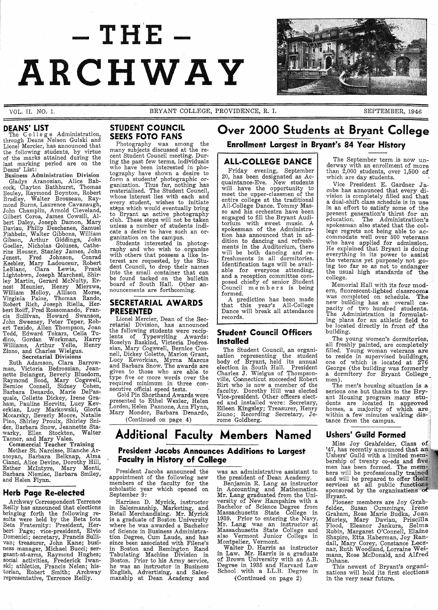# $-THE -$ **ARCHWAY**

VOL. II. NO.1.

DEANS' LIST<br>The College Administration,<br>through Deans Nelson Gulski and Lionel Mercier, has announced that the following students, by virtue of the marks attained during the last marking period are on the Deans' List:

Business Administration Division<br>Gladys Aranosian, Alice Babcock, Clayton Bathhurst, Thomas Bouley, Raymond Boynton, Robert Bradley, Walter Brosseau, Raymond Burns, Laurence Cavanaugh, John Champlin, Arnold Cleveland, Gilbert Coroa, James Cowsill, Albert Daley, Joseph Damon, Mary Daviau, Philip Deschenes, Samuel Fishbein, Walter Gibbons, William Gibson, Arthur Giddings, John Goeller, Nicholas Goluses, Catherine Houser, Stanley James, John Jenest, Fred Johnson, Conrad Keebler, Mary Ladouceur, Robert LeBlanc, Clara Lewis, Frank Lightobwn, Joseph Marchesi, Shirley Martin, Gerard McNulty, Ernest Meunier, Henry Mierzwa, William Molloy, Allison Morse, Virginia Paine, Thomas Rando, Robert Rich, Joseph Riella, Herbert Roiff, Fred Rossomando, Francis Sullivan, Howard Swanson, John Sweeney, Peter Teper, Robert Texido, Allen Thompson, Joan Todd, Edward Tokarz, Celia Tu-dino, Gordan Workman, Harry Williams, Arthur Yelle, Henry Zinno, and Charles Wielgus.

#### Secretarial Divisions

Ruth Adamson, Clara Barrowman, Victoria Bedrossian, Jean-<br>nette Belanger, Beverly Bluedorn, Raymond Bood, Mary Cogswell, Bernice Connell, Sidney Cohen, Barbara Denardo, Marie DePas-<br>quale, Collette Dickey, Irene Graham, Pauline Horvitz, Lucy Kevorkian, Lucy Markowski, Gloria Mocarsky, Beverly Moore, Natalie Pino, Shirley Proulx, Shirley Snider, Barbara Snow, Jeannette Stawarky, Ellen Stockton, Walter Tanner, and Mary Vales.

Commercial Teacher Training

Mother St. Narcisse, Blanche Arzooyan, Barbara Belknap, Alma Cianci, Alice Devine, Dorothy Hill, Esther McIntyre, Mary Monti, Barbara Niemiec, Barbara Smiley, and Helen Flynn.

#### **Herb Page Re-elected**

Archway Correspondent Terrence Reilly has announced that elections bringing forth the following re-<br>sults were held by the Beta Iota Beta Fraternity: President, Herbert Page; vice-president, Elvio Domenici; secretary, Francis Sullivan; treasurer, John Kane; busi-ness manager, Michael Bucci; sersocial activities, Frederick Iwanski; athletics, Francis Nelen; historian, Robert Smith; Archway representative, Terrence Reilly.

### **STUDENT COUNCIL SEEKS FOTO FANS**

Photography was among the many subjects discussed at the recent Student Council meeting. Durcent Student Council meeting. During the past few terms, individuals who have been interested in photography have shown a desire to form a students' photographic or- ganization. Thus far, nothing has materialized. The Student Council, whose interest lies with each and every student, wishes to initiate steps which would eventually bring to Bryant an active photography club. These steps will not be taken unless a number of students indi-

cate a desire to have such an or- ganization on the campus. Students interested in photography and who wish to organize<br>with others that possess a like interest are requested, by the Stu-<br>dent Council, to drop their names dent Council, to drop their names into the small container that can be found tacked on the bulletin board of South Hall. Other an-<br>nouncements are forthcoming.

#### **SECRETARIAL AWARDS PRESENTED**

Lionel Mercier, Dean of the Secretarial Division, has announced the following students were recipients of Typewriting Awards: Roselyn Baskind, Victoria Dedrossian, Mary Cogswell, Bernice Connell, Dickey Colette, Marion Grant, Lucy Kevorkian, Myrna Marcus and Barbara Snow. The awards are given to those who are able to given to those who are able to<br>type five or more words over the required minimum in three con-<br>secutive official speed tests. Gold Pin Shorthand Awards were

presented to Ethel Wexler, Helen Lorden, Helen Pannone, Ann Flynn, Mary Mondor, Barbara Denardo,

(Continued on page 4)

**Faculty in History of College** 

President Jacobs announced the appointment of the following new members of the faculty for the scholastic year which opened on September 9: Harrison D. Myrick, instructor in Salesmanship, Marketing, and. Retail Merchandising. Mr. Myrick is a graduate of Boston University where he was awarded a Bachelor of Science in Business Administration Degree, Cum Laude, and has since been associated with Filene's in Boston and Remington Rand Tabulating Machine Division in Boston. Prior to his Army service, he was an instructor in Business English, Advertising, and Sales-manship at Dean Academy and

**Additional Faculty Members Named** 

**President Jacobs Announces Additions to Largest** 

# **Over 2000 Students at Bryant College**

### **Enrollment Largest in Bryant's 84 Year History**

#### **ALL·COLLEGE DANCE**

Friday evening, September 20, has been designated as Acquaintance-Eve. New students will have the opportunity to meet the upper-classmen of the entire college at the traditional<br>All-College Dance. Tommy Masso and his orchestra have been engaged to fill the Bryant Auditorium with sweet music. A spokesman of the Administra-tion has announced that in addition to dancing and refreshments in the Auditorium, there will be both dancing and re-<br>freshments in all dormitories. Identification tags will be available for everyone attending, and a reception committee com- posed chiefly of senior Student Council m e m b e r s is being formed.

A prediction has been made that this year's All-College Dance will break all attendance records.

#### **Student Council Officers Installed**

The Student Council, an organization representing the student body of Bryant, held its annual election in South Hall. President Charles J. Wielgus of Thompsonville, Connecticut succeeded Robert Birt who is now a member of the faculty. Dorothy Hill was elected Vice-president. Other officers elected and installed \vere: Secretary, Eileen Kingsley; Treasurer, Henry Zinno; Recording Secretary, Je- rome Goldberg.

The September term is now un-<br>derway with an enrollment of more<br>than 2,000 students, over 1,500 of which are day students.

Vice President E. Gardner Jacobs has announced that every division is completely filled and that a dual-shift class schedule is in use in an effort to satisfy some of the present generation's thirst for an education. The Administration's spokesman also stated that the college regrets not being able to ac- commodate well over 500 veterans who have applied for admission.<br>He explained that Bryant is doing everything in its power to assist the veterans yet purposely not going too far so as not to endanger the usual high standards of the college.

Memorial Hall with its four modern, fluorescent-lighted classrooms<br>was completed on schedule. The was completed on schedule. The new building has an overall ca-<br>pacity of two hundred students. The Administration is formulat-ing plans for an athletic field to be located directly in front of the building.

The young women's dormitories, all freshly painted; are completely filled. Young woman veterans are to reside in supervised buildings, one of which is located at 276 George (the building was formerly a dormitory for Bryant College men).

men).<br>The men's housing situation is a serious one but thanks to the Bryant Housing program many students are located in approved<br>homes, a majority of which are<br>within a few minutes walking diswithin a few minutes walking dis-<br>tance from the campus.

#### **Ushers' Guild Formed**

Miss Joy Grabfelder, Class of '47, has recently announced that an Ushers' Guild with a limited membership of twenty co-eds and five<br>men has been formed. The members will be professionally<br>and will be prepared to off<br>services at all public f sponsored by the organizat Bryant.

Pioneer members are Joy Grabfelder, Susan Cummings, Irene Graham, Rose Marie Budka, Joan Murley, Mary Daviau, Priscilla Flood, Eleanor Jankura, Selma Rubin, Margaret O'Connell, Elaine Shapiro, Etta Haberman, Joy Randall, Mary Corey, Constance Lecznar, Ruth Woodland, Lorraine Weimann, Rose McDonald, and Alfred Duhane.

This newest of Bryant's organizations will hold its first elections in the very near future.

was an administrative assistant to the president of Dean Academy.

Benjamin R. Lang as instructor in Accounting and Mathematics. Mr. Lang graduated from the University of New Hampshire with a Bachelor of Science Degree from Massachusetts State College in 1939. Prior to entering the Navy, Mr. Lang was an instructor at Massachusetts State College and also Vermont Junior College in

Montpelier, Vermont. Walter D. Harris as instructor in Law. Mr. Harris is a graduate of Brown University with an A.B. Degree in 1935 and Harvard Law School with a LL.B. Degree in

(Continued on page 2)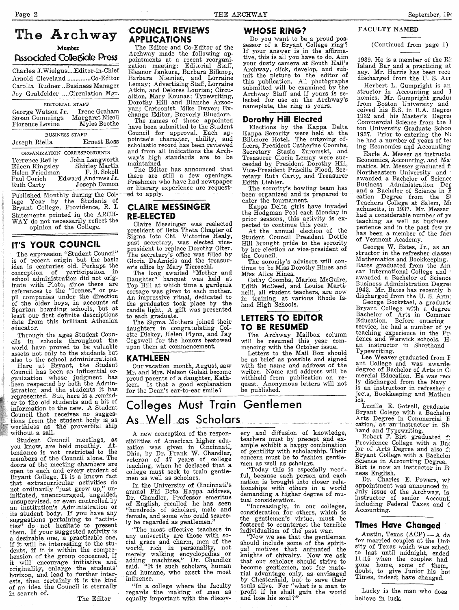Charles J. Wielgus.... Editor-in-Chief Arnold Cleveland .............Co-Editor Carolla Rudner ..Business Manager Joy Grabfelder .... Circulation Mgr.

#### EDITORIAL STAFF

| George Watson Jr. | Irene Graham    |
|-------------------|-----------------|
|                   |                 |
| Susan Cummings    | Margaret Nicoll |
| Florence Levine   | Myles Boothe    |

BUSINESS STAFF Joseph Riella

Ernest Ross

ORGANIZATION CORRESPONDENTS John Langworth<br>Shirley Martin<br>F. B. Sokoll Terrence Reilly Eileen Kingsley Helen Friedman Paul Corich Edward Andrews Jr. Joseph Damon Ruth Carty

Published Monthly during the College Year by the Students of<br>Bryant College, Providence, R. I. Statements printed in the ARCH-WAY do not necessarily reflect the opinion of the College.

#### IT'S YOUR COUNCIL

The expression "Student Council" is of recent origin but the basic idea is centuries old. Perhaps the conception of participation in<br>school administration did not origbinate with Plato, since there are<br>references to the "Irenes," or pu-<br>pil companies under the direction of the older boys, in accounts of Spartan boarding schools, but at least our first definite descriptions date from this brilliant Athenian educator.

Through the ages Student Councils in schools throughout the world have proved to be valuable<br>assets not only to the students but

also to the school administrations.<br>Here at Bryant, the Student Council has been an influential organization whose judgment has<br>been respected by both the Admin-<br>istration and the students it has represented. But, here is a reminder to the old students and a bit of information to the new. A Student Council may receives no suggestions from the student body is as worthless as the proverbial ship without a sail. Council that receives no sugges-

Student Council meetings, as<br>you know, are held monthly. At-<br>tendance is not restricted to the<br>members of the Council alone. The doors of the meeting chambers are open to each and every student of<br>Bryant College. It is a known fact that extracurricular activities do not ordinarily "just grow up," un-<br>initiated, unencouraged, unguided, unsupervised, or even controlled by an institution's Administration or an movement and help. If you have any<br>suggestions pertaining to "activi-<br>ties" do not hesitate to present<br>them. If your suggested activity is them. If your suggested activity is<br>a desirable one, a practicable one,<br>if it will be interesting to the stu-<br>dents, if it is within the compre-<br>hension of the group concerned, if it will encourage initiative and<br>originality, enlarge the students'<br>horizon, and lead to further interests, then certainly it is the kind of an idea the Council is eternally in search of.

The Editor

#### **COUNCIL REVIEWS APPLICATIONS**

The Editor and Co-Editor of the Archway made the following ap-Archivaly made the ronowing are<br>pointments at a recent reorganization meeting: Editorial Staff,<br>Eleanor Jankura, Barbara Bilknop, Barbara Niemiec, and Lorraine<br>Lemay; Advertising Staff, Lorraine Atkin, and Delores Lourian; Circualtion, Mary Kounas: Typewriting. Dorothy Hill and Blanche Arzoo-Dorouny Hill and Dianche Arabor<br>yan; Cartoonist, Mike Dwyer; Ex-<br>change Editor, Breverly Bluedorn.<br>The names of those appointed

have been submitted to the Student Council for approval. Each appointee's character, ability, and<br>scholastic record has been reviewed and from all indications the Archway's high standards are to be maintained.

The Editor has announced that the Luntor has almoanced that<br>there are still a few openings.<br>Freshmen who have had newspaper or literary experience are requested to apply.

#### **CLAIRE MESSINGER RE-ELECTED**

Claire Messinger was reelected president of Beta Theta Chapter of<br>Sigma Iota Chi. Victorine Healy, past secretary, was elected viceplast secretary, was elected vice<br>president to replace Dorothy Olter.<br>The secretary's office was filled by Gloria DeAmicis and the treasurer's office by Mary Tirrocchi.

The long awaited "Mother and<br>Daughter" banquet was held at Top Hill at which time a gardenia corsage was given to each mother. An impressive ritual, dedicated to the graduates took place by the<br>candle light. A gift was presented to each graduate.

The Sigma Mothers joined their daughters in congratulating Colette Dickey, Helen Flynn, and Jay<br>Cogswell for the honors bestowed upon them at commencement.

#### **KATHLEEN**

Our vacation month, August, saw Mr. and Mrs. Nelson Gulski become proud parents of a daughter, Kathleen. Is that a good explanation for the Dean's ear-to-ear smile?

As Well as Scholars

A new conception of the respon-

sibilities of American higher edu-

cation was given in Cincinnati,<br>Ohio, by Dr. Frank W. Chandler,

veteran of 47 years of college<br>teaching, when he declared that a

college must seek to train gentle-

In the University of Cincinnati's<br>annual Phi Beta Kappa address,

Dr. Chandler, Professor emeritus

of English, recalled he has seen

"hundreds of scholars, male and<br>female, and some who could scarce-

any university are those with social grace and charm, men of the

world, rich in personality, not<br>merely walking encyclopedias or

all and machines," Dr. Chandler<br>said. "It is such scholars, human<br>and humane, who exert the most

"In a college where the faculty

regards the making of men as<br>equally important with the discov-

"The most effective teachers in

ly be regarded as gentlemen.'

influence.

men as well as scholars.

Colleges Must Train Gentlemen

#### **WHOSE RING?**

Do you want to be a proud possessor of a Bryant College ring? If your answer is in the affirmative, this is all you have to do. Aim your dusty camera at South Hall's Archway, click, develop, and submit the picture to the editor of this publication. All photographs submitted will be examined by the Archway Staff and if yours is selected for use on the Archway's nameplate, the ring is yours.

#### **Dorothy Hill Elected**

Elections by the Kappa Delta<br>Kappa Sorority were held at the<br>Biltmore Hotel. The outgoing of-<br>ficers, President Catherine Coombs, Secretary Stasia Zuromski, and<br>Treasurer Gloria Lemay were succeeded by President Dorothy Hill, Vice-President Priscilla Flood, Secvice-resolution Tissuin Plood, Secretary Ruth Carty, and Treasurer<br>Edith Liebler.<br>The sorority's bowling team has<br>been organized and is prepared to

enter the tournament.

Kappa Delta girls have invaded the Hodgman Pool each Monday in<br>prior seasons, this activity is expected to continue this year.

At the annual election of the<br>Student Council President Dottie<br>Will breward with Hill brought pride to the sorority by her election as vice-president of the Council.

The sorority's advisors will con-<br>tinue to be Miss Dorothy Hines and Miss Alice Hines.

Cathy Coombs, Marion McGuire, Edith McDeed, and Louise Martinelli, all student teachers, are now<br>in training at various Rhode Island High Schools.

#### LETTERS TO EDITOR **TO BE RESUMED**

The Archway Mailbox column<br>will be resumed this year commencing with the October issue.

Letters to the Mail Box should be as brief as possible and signed<br>with the name and address of the writer. Name and address will be withheld from publication on request. Anonymous letters will not be published.

ery and diffusion of knowledge,

teachers must by precept and ex-

ample exhibit a happy combination

of gentility with scholarship. Their

concern must be to fashion gentle-

ful, because each person and each

nation is brought into closer rela-

tionships with others in a world demanding a higher degree of mu-<br>tual consideration.

"Increasingly, in our colleges, consideration for others, which is

the gentlemen's virtue, must be

fostered to counteract the terrible

individualism of the past war.<br>"Now we see that the gentleman<br>should include some of the spirit-

ual motives that animated the knights of chivalry. Now we ask

that our scholars should strive to

become gentlemen, not for mate-

second generation, not on matter and advantage only, as envisaged<br>by Chesterfield, but to save their<br>souls alive. For "what is a man to<br>profit if he shall gain the world<br>and lose his soul?"

"Today this is especially need-

men as well as scholars.

#### FACULTY NAMED

(Continued from page 1)

September, 194

1939. He is a member of the Rh Island Bar and a practicing at nev. Mr. Harris has been rece: discharged from the U.S. Arn

Herbert L. Gumpright is an structor in Accounting and I nomics. Mr. Gumpright gradua from Boston University and<br>ceived his B.S. in B.A. Degree 1932 and his Master's Degree Commercial Science from the I ton University Graduate Schoo 1937. Prior to entering the N: he had a number of years of tea ing Economics and Accounting

Earle A. Messer as instructo: Economics, Accounting, and Ma matics. Mr. Messer graduated f Northeastern University and<br>awarded a Bachelor of Science Business Administration Deg<br>and a Bachelor of Science in F cation Degree from the  $S1$ Teachers College at Salem, M. achusetts, in 1937. Mr. Messer had a considerable number of ye teaching as well as business perience and in the past few ye has been a member of the fact of Vermont Academy.

George W. Bates, Jr., as an structor in the refresher classes Mathematics and Bookkeeping. Bates graduated from the Am awarded a Bachelor of Science Business Administration Degree 1942. Mr. Bates has recently b discharged from the U.S. Arm;

George Bockstael, a graduate Bryant College with a degree Bachelor of Arts in Commer<br>Education. Before entering service, he had a number of  $\mathbf{v}$  $\epsilon$ teaching experience in the Prodence and Warwick schools. H an instructor in Shorthand Typewriting.

Lee Weaver graduated from **F** ant College and was awardedegree of Bachelor of Arts in Co mercial Education. He was rect ly discharged from the Navy is an instructoor in refresher s jects, Bookkeeping and Mathen ics.

Lucille E. Gotsell, graduate Bryant Colege with a Bachelor Arts Degree in Commercial E cation, as an instructor in Sh

Robert F. Birt graduated f:<br>Providence College with a Bac<br>lor of Arts Degree and also f: Bryant College with a Bachelor Science in Accounting Degree. Birt is now an instructor in B ness English.

Dr. Charles E. Powers, wh appointment was announced in<br>July issue of the Archway, is<br>instructor of senior Accountincluding Federal Taxes and ( Accounting.

#### **Times Have Changed**

Austin, Texas (ACP) - A da for married couples at the Univ sity of Texas which was scheduled 11:15 when the couples had gone home, some of them, doubt, to give Junior his bot Times, indeed, have changed.

Lucky is the man who does believe in luck.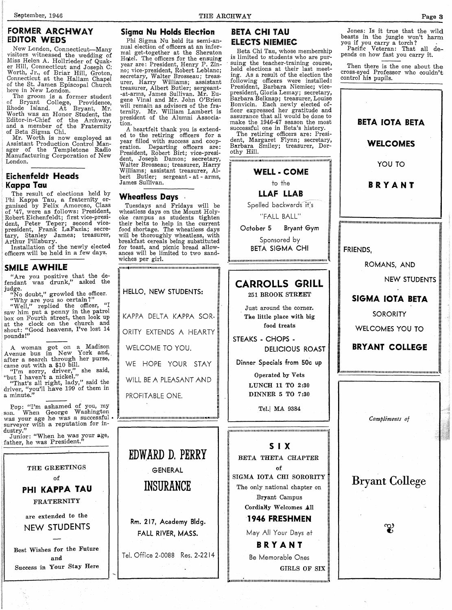#### FORMER ARCHWAY EDITOR WEDS

New London, Connecticut-Many<br>visitors witnessed the wedding of visitors witnessed the wedding of<br>Miss Helen A. Hollrieder of Quak-<br>er Hill, Connecticut and Joseph C: Worth, Jr., of Briar Hill, Groton,<br>Connecticut at the Hallam Chapel of the St. James Episcopal Church<br>here in New London.

The groom is a former student of Bryant College, Providence, Rhode Island. At Bryant, Mr. Worth was an Honor Student, the Editor-in-Chief of the Archway,<br>and a member of the Fraternity<br>of Beta Sigma Chi.

Mr. Worth is now employed as Assistant Production Control Manager of the Templetone Radio Manufacturing Corporation of New London.

#### Eichenfeldt Heads Kappa Tau

The result of elections held by Phi Kappa Tau, a fraternity or- ganized by Felix Amoroso, Class of '47, were as follows: President, Robert Eichenfeldt; first vice-president, Peter Teper; second vicepresident, Frank LaFazia; secre-<br>tary, Stanley James; treasurer,

Arthur Pillsbury. Installation of the newly elected officers will be held in a few days.

#### SMILE AWHILE

"Are you positive that the defendant was drunk," asked the

judge.<br>"No doubt," growled the officer.

"Why are you so certain?"<br>"Well," replied the officer, "I "Well," replied the officer, "I saw him put a penny in the patrol box on Fourth street, then look up at the clock on the church and shout: "Good heavens, I've lost 14 pounds!"

A woman got on a Madison A venue bus in New York and, after a search through her purse, came out with a \$10 bill. "I'm sorry, driver," she said,

"but I haven't a nickel." "That's all right, lady," said the

driver, "you'll have 199 of them in a minute."

Fop: "I'm ashamed of you, my son. When George Washington was your age he was a successful surveyor with a reputation for in-<br>dustry."

dustry." Junior: "When he was your age, father, he was President."



#### Sigma Nu Holds Election

Phi Sigma Nu held its semi-annual election of officers at an informal get-together at the Sheraton Hotel. The officers for the ensuing year are: President, Henry P. Zinno; vice-president, Robert Leblanc; secretary, Walter Brosseau; treasurer, Harry Williams; assistant treasurer, Albert Butler; sergeant- -at-arms, James Sullivan. Mr. Eugene Vinal and Mr. John O'Brien will remain as advisors of the fraternity. Mr. William Lambert is president of the Alumni Association.

ed to the retiring officers for a year filled with success and cooperation. Departing officers are:<br>
President, Robert Birt; vice-presi-<br>
President, Robert Birt; vice-president, Joseph Damon; secretary, Walter Brosseau; treasurer, Harry Williams; assistant treasurer, Albert Butler; sergeant - at - arms,<br>James Sullivan.

#### Wheatless Days

Tuesdays and Fridays will be wheatless days on the Mount Holyoke campus as students tighten their belts to help in the current food shortage. The wheatless days will be thoroughly wheatless, with breakfast cereals being substituted for toast, and picnic bread allow- ances will be limited to two sandwiches per girl.

~11I11.rtllllll'II'II"II'Ir1f."'I'JII'lll1llllllllllnllllll"1I1II':

KAPPA DELTA KAPPA SOR-

ORITY EXTENDS A HEARTY

WE HOPE YOUR STAY

WILL BE A PLEASANT AND

:"" .. IIJ1I1I1III1IIII1IIIIJIIII:ltllllllll'IIII'UJllIIU"IIlIIIIH"'UU~

GENERAL

INSURANCE

FALL RIVER, MASS.

~

HELLO, NEW STUDENTS:

WELCOME TO YOU.

PROFITABLE ONE.

#### BETA CHI TAU ELECTS NIEMIEC

THE ARCHWAY

Beta Chi Tau, whose membership suing the teacher-training course,<br>held elections at their last meetelections at their last meeting, As a result of the election the following officers were installed:<br>President, Barbara Niemiec; vicepresident, Gloria Lemay; secretary,<br>Barbara Belknap; treasurer, Louise Bonvicin. Each newly elected officer expressed her gratitude and assurance that all would be done to make the 1946-47 season the most successful one in Beta's history.

The retiring officers are: President, Margaret Flynn; secretary, Barbara Smiley; treasurer, Dorothy Hill.



~'1II1I1I"111I1I11I11'1I11111111111111111111111111111111111111111111t1~

Jones: Is it true that the wild

 $beasts$  in the jungle won't harm you if you carry a torch?

Pacific Veteran: That all depends on how fast you carry it.

Then there is the one about the cross-eyed Professor who couldn't control his pupils.



A heartfelt thank you is extend-